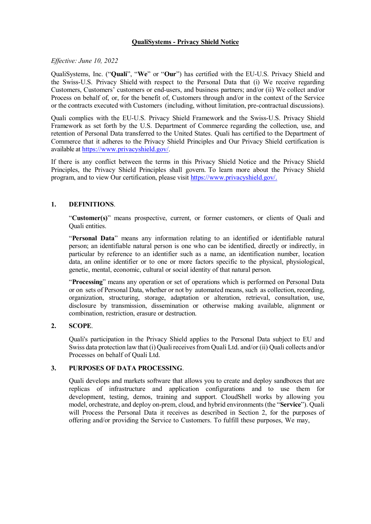# **QualiSystems - Privacy Shield Notice**

# *Effective: June 10, 2022*

QualiSystems, Inc. ("**Quali**", "**We**" or "**Our**") has certified with the EU-U.S. Privacy Shield and the Swiss-U.S. Privacy Shield with respect to the Personal Data that (i) We receive regarding Customers, Customers' customers or end-users, and business partners; and/or (ii) We collect and/or Process on behalf of, or, for the benefit of, Customers through and/or in the context of the Service or the contracts executed with Customers (including, without limitation, pre-contractual discussions).

Quali complies with the EU-U.S. Privacy Shield Framework and the Swiss-U.S. Privacy Shield Framework as set forth by the U.S. Department of Commerce regarding the collection, use, and retention of Personal Data transferred to the United States. Quali has certified to the Department of Commerce that it adheres to the Privacy Shield Principles and Our Privacy Shield certification is available at https://www.privacyshield.gov/.

If there is any conflict between the terms in this Privacy Shield Notice and the Privacy Shield Principles, the Privacy Shield Principles shall govern. To learn more about the Privacy Shield program, and to view Our certification, please visit https://www.privacyshield.gov/.

# **1. DEFINITIONS**.

"**Customer(s)**" means prospective, current, or former customers, or clients of Quali and Quali entities.

"**Personal Data**" means any information relating to an identified or identifiable natural person; an identifiable natural person is one who can be identified, directly or indirectly, in particular by reference to an identifier such as a name, an identification number, location data, an online identifier or to one or more factors specific to the physical, physiological, genetic, mental, economic, cultural or social identity of that natural person.

"**Processing**" means any operation or set of operations which is performed on Personal Data or on sets of Personal Data, whether or not by automated means, such as collection, recording, organization, structuring, storage, adaptation or alteration, retrieval, consultation, use, disclosure by transmission, dissemination or otherwise making available, alignment or combination, restriction, erasure or destruction.

# **2. SCOPE**.

Quali's participation in the Privacy Shield applies to the Personal Data subject to EU and Swiss data protection law that (i) Quali receives from Quali Ltd. and/or (ii) Quali collects and/or Processes on behalf of Quali Ltd.

### **3. PURPOSES OF DATA PROCESSING**.

Quali develops and markets software that allows you to create and deploy sandboxes that are replicas of infrastructure and application configurations and to use them for development, testing, demos, training and support. CloudShell works by allowing you model, orchestrate, and deploy on-prem, cloud, and hybrid environments (the "**Service**"). Quali will Process the Personal Data it receives as described in Section 2, for the purposes of offering and/or providing the Service to Customers. To fulfill these purposes, We may,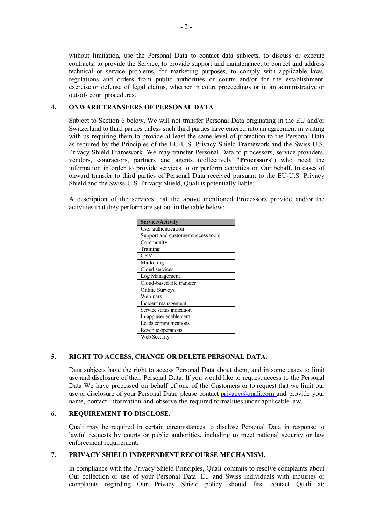without limitation, use the Personal Data to contact data subjects, to discuss or execute contracts, to provide the Service, to provide support and maintenance, to correct and address technical or service problems, for marketing purposes, to comply with applicable laws, regulations and orders from public authorities or courts and/or for the establishment, exercise or defense of legal claims, whether in court proceedings or in an administrative or out-of- court procedures.

# **4. ONWARD TRANSFERS OF PERSONAL DATA**.

Subject to Section 6 below, We will not transfer Personal Data originating in the EU and/or Switzerland to third parties unless such third parties have entered into an agreement in writing with us requiring them to provide at least the same level of protection to the Personal Data as required by the Principles of the EU-U.S. Privacy Shield Framework and the Swiss-U.S. Privacy Shield Framework. We may transfer Personal Data to processors, service providers, vendors, contractors, partners and agents (collectively "**Processors**") who need the information in order to provide services to or perform activities on Our behalf. In cases of onward transfer to third parties of Personal Data received pursuant to the EU-U.S. Privacy Shield and the Swiss-U.S. Privacy Shield, Quali is potentially liable.

A description of the services that the above mentioned Processors provide and/or the activities that they perform are set out in the table below:

| Service/Activity                   |
|------------------------------------|
| User authentication                |
| Support and customer success tools |
| Community                          |
| Training                           |
| <b>CRM</b>                         |
| Marketing                          |
| Cloud services                     |
| Log Management                     |
| Cloud-based file transfer          |
| <b>Online Surveys</b>              |
| Webinars                           |
| Incident management                |
| Service status indication          |
| In-app user enablement             |
| Leads communications               |
| Revenue operations                 |
| Web Security                       |

### **5. RIGHT TO ACCESS, CHANGE OR DELETE PERSONAL DATA.**

Data subjects have the right to access Personal Data about them, and in some cases to limit use and disclosure of their Personal Data. If you would like to request access to the Personal Data We have processed on behalf of one of the Customers or to request that we limit our use or disclosure of your Personal Data, please contact privacy@quali.com and provide your name, contact information and observe the required formalities under applicable law.

#### **6. REQUIREMENT TO DISCLOSE.**

Quali may be required in certain circumstances to disclose Personal Data in response to lawful requests by courts or public authorities, including to meet national security or law enforcement requirement.

### **7. PRIVACY SHIELD INDEPENDENT RECOURSE MECHANISM.**

In compliance with the Privacy Shield Principles, Quali commits to resolve complaints about Our collection or use of your Personal Data. EU and Swiss individuals with inquiries or complaints regarding Our Privacy Shield policy should first contact Quali at: